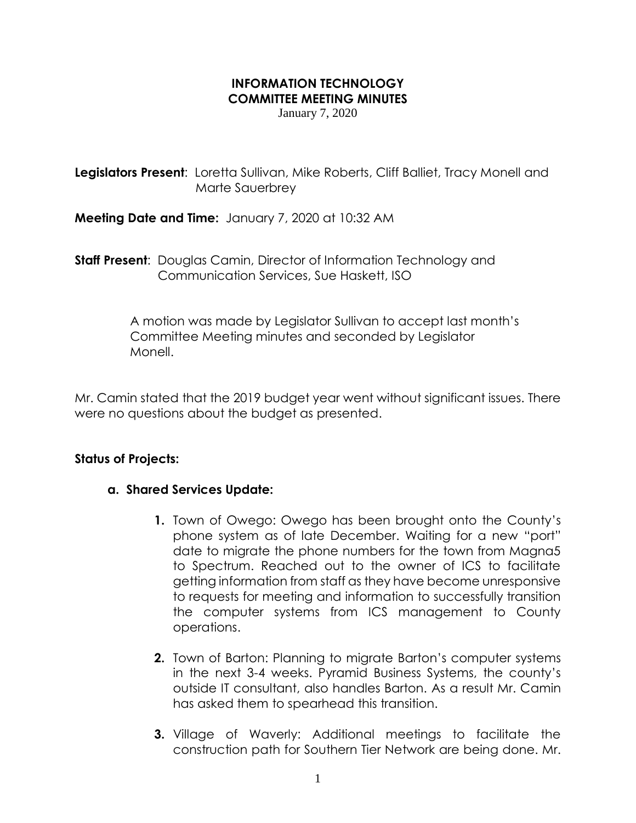# **INFORMATION TECHNOLOGY COMMITTEE MEETING MINUTES**

January 7, 2020

**Legislators Present:** Loretta Sullivan, Mike Roberts, Cliff Balliet, Tracy Monell and Marte Sauerbrey

**Meeting Date and Time:** January 7, 2020 at 10:32 AM

**Staff Present**: Douglas Camin, Director of Information Technology and Communication Services, Sue Haskett, ISO

> A motion was made by Legislator Sullivan to accept last month's Committee Meeting minutes and seconded by Legislator Monell.

Mr. Camin stated that the 2019 budget year went without significant issues. There were no questions about the budget as presented.

### **Status of Projects:**

#### **a. Shared Services Update:**

- **1.** Town of Owego: Owego has been brought onto the County's phone system as of late December. Waiting for a new "port" date to migrate the phone numbers for the town from Magna5 to Spectrum. Reached out to the owner of ICS to facilitate getting information from staff as they have become unresponsive to requests for meeting and information to successfully transition the computer systems from ICS management to County operations.
- **2.** Town of Barton: Planning to migrate Barton's computer systems in the next 3-4 weeks. Pyramid Business Systems, the county's outside IT consultant, also handles Barton. As a result Mr. Camin has asked them to spearhead this transition.
- **3.** Village of Waverly: Additional meetings to facilitate the construction path for Southern Tier Network are being done. Mr.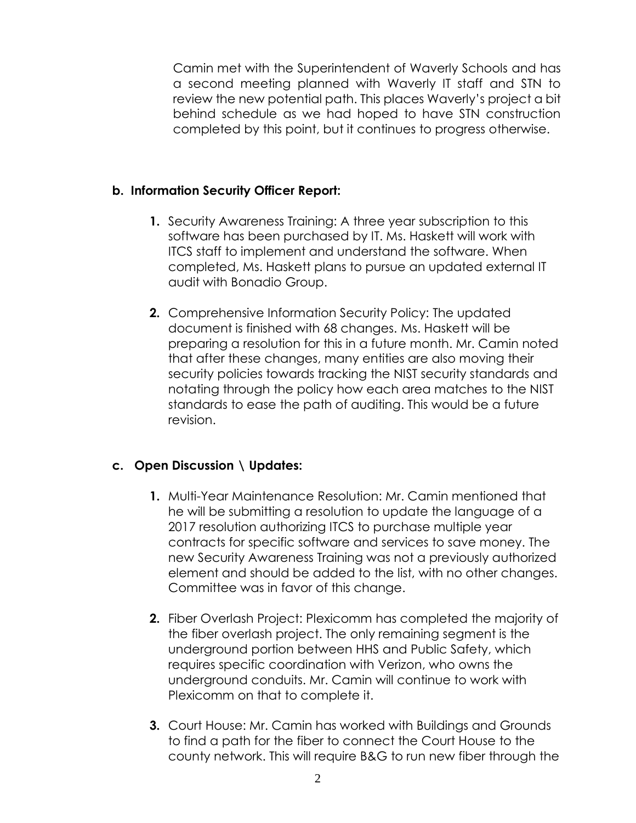Camin met with the Superintendent of Waverly Schools and has a second meeting planned with Waverly IT staff and STN to review the new potential path. This places Waverly's project a bit behind schedule as we had hoped to have STN construction completed by this point, but it continues to progress otherwise.

# **b. Information Security Officer Report:**

- **1.** Security Awareness Training: A three year subscription to this software has been purchased by IT. Ms. Haskett will work with ITCS staff to implement and understand the software. When completed, Ms. Haskett plans to pursue an updated external IT audit with Bonadio Group.
- **2.** Comprehensive Information Security Policy: The updated document is finished with 68 changes. Ms. Haskett will be preparing a resolution for this in a future month. Mr. Camin noted that after these changes, many entities are also moving their security policies towards tracking the NIST security standards and notating through the policy how each area matches to the NIST standards to ease the path of auditing. This would be a future revision.

# **c. Open Discussion \ Updates:**

- **1.** Multi-Year Maintenance Resolution: Mr. Camin mentioned that he will be submitting a resolution to update the language of a 2017 resolution authorizing ITCS to purchase multiple year contracts for specific software and services to save money. The new Security Awareness Training was not a previously authorized element and should be added to the list, with no other changes. Committee was in favor of this change.
- **2.** Fiber Overlash Project: Plexicomm has completed the majority of the fiber overlash project. The only remaining segment is the underground portion between HHS and Public Safety, which requires specific coordination with Verizon, who owns the underground conduits. Mr. Camin will continue to work with Plexicomm on that to complete it.
- **3.** Court House: Mr. Camin has worked with Buildings and Grounds to find a path for the fiber to connect the Court House to the county network. This will require B&G to run new fiber through the